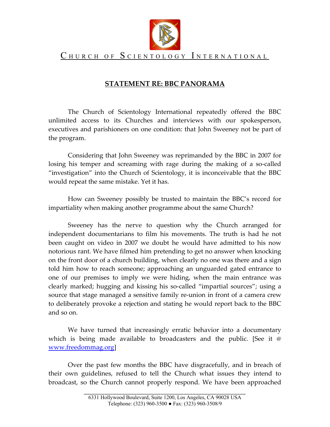

## CHURCH OF SCIENTOLOGY INTERNATIONAL

## **STATEMENT RE: BBC PANORAMA**

The Church of Scientology International repeatedly offered the BBC unlimited access to its Churches and interviews with our spokesperson, executives and parishioners on one condition: that John Sweeney not be part of the program.

Considering that John Sweeney was reprimanded by the BBC in 2007 for losing his temper and screaming with rage during the making of a so-called "investigation" into the Church of Scientology, it is inconceivable that the BBC would repeat the same mistake. Yet it has.

How can Sweeney possibly be trusted to maintain the BBC's record for impartiality when making another programme about the same Church?

Sweeney has the nerve to question why the Church arranged for independent documentarians to film his movements. The truth is had he not been caught on video in 2007 we doubt he would have admitted to his now notorious rant. We have filmed him pretending to get no answer when knocking on the front door of a church building, when clearly no one was there and a sign told him how to reach someone; approaching an unguarded gated entrance to one of our premises to imply we were hiding, when the main entrance was clearly marked; hugging and kissing his so-called "impartial sources"; using a source that stage managed a sensitive family re-union in front of a camera crew to deliberately provoke a rejection and stating he would report back to the BBC and so on.

We have turned that increasingly erratic behavior into a documentary which is being made available to broadcasters and the public. [See it @ [www.freedommag.org\]](http://www.freedommag.org/)

Over the past few months the BBC have disgracefully, and in breach of their own guidelines, refused to tell the Church what issues they intend to broadcast, so the Church cannot properly respond. We have been approached